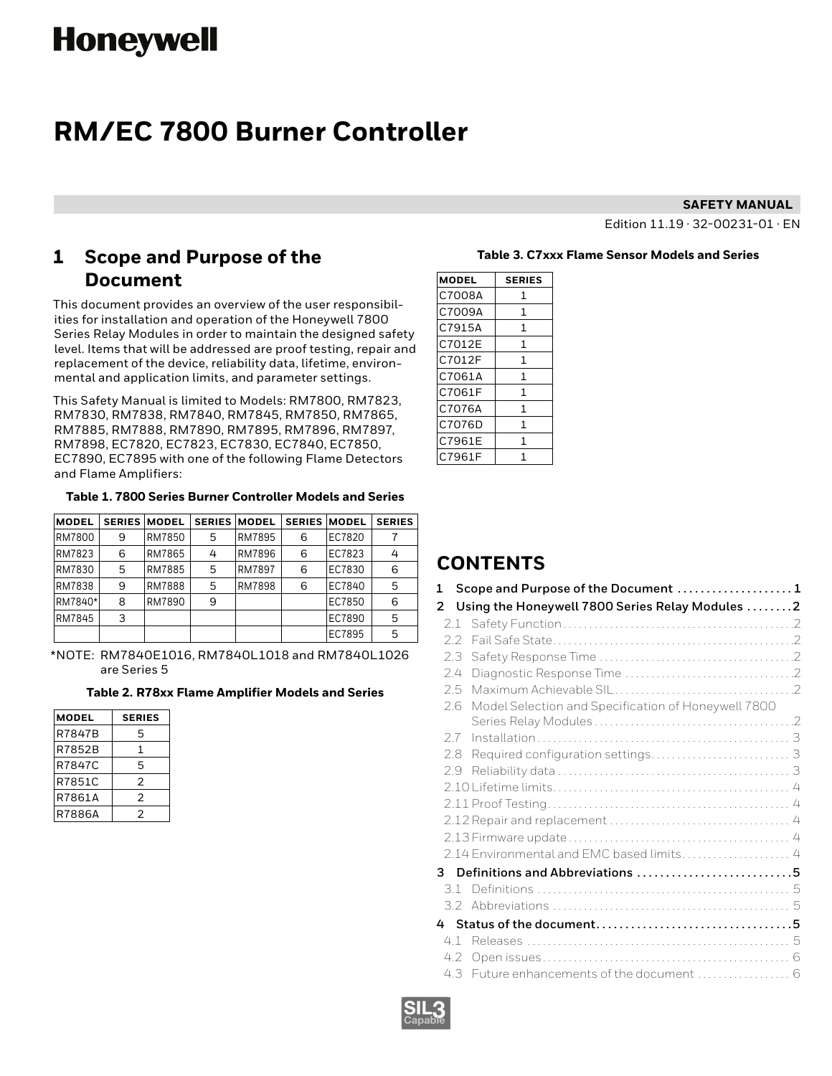# **Honeywell**

# **RM/EC 7800 Burner Controller**

#### **SAFETY MANUAL**

Edition 11.19 · 32-00231-01 · EN

# **1 Scope and Purpose of the Document**

This document provides an overview of the user responsibilities for installation and operation of the Honeywell 7800 Series Relay Modules in order to maintain the designed safety level. Items that will be addressed are proof testing, repair and replacement of the device, reliability data, lifetime, environmental and application limits, and parameter settings.

This Safety Manual is limited to Models: RM7800, RM7823, RM7830, RM7838, RM7840, RM7845, RM7850, RM7865, RM7885, RM7888, RM7890, RM7895, RM7896, RM7897, RM7898, EC7820, EC7823, EC7830, EC7840, EC7850, EC7890, EC7895 with one of the following Flame Detectors and Flame Amplifiers:

#### **Table 1. 7800 Series Burner Controller Models and Series**

| <b>MODEL</b> |   | <b>SERIES MODEL</b> |   | <b>SERIES MODEL</b> | <b>SERIES</b> | <b>MODEL</b> | <b>SERIES</b> |
|--------------|---|---------------------|---|---------------------|---------------|--------------|---------------|
| RM7800       | 9 | RM7850              | 5 | <b>RM7895</b>       | 6             | EC7820       |               |
| RM7823       | 6 | RM7865              | 4 | <b>RM7896</b>       | 6             | EC7823       | 4             |
| RM7830       | 5 | RM7885              | 5 | <b>RM7897</b>       | 6             | EC7830       | 6             |
| RM7838       | 9 | <b>RM7888</b>       | 5 | <b>RM7898</b>       | 6             | EC7840       | 5             |
| RM7840*      | 8 | RM7890              | 9 |                     |               | EC7850       | 6             |
| RM7845       | 3 |                     |   |                     |               | EC7890       | 5             |
|              |   |                     |   |                     |               | EC7895       | 5             |

\*NOTE: RM7840E1016, RM7840L1018 and RM7840L1026 are Series 5

#### **Table 2. R78xx Flame Amplifier Models and Series**

| <b>MODEL</b> | <b>SERIES</b> |
|--------------|---------------|
| R7847B       | 5             |
| R7852B       | 1             |
| R7847C       | 5             |
| R7851C       | 2             |
| R7861A       | 2             |
| R7886A       | 2             |

#### **Table 3. C7xxx Flame Sensor Models and Series**

| <b>MODEL</b> | <b>SERIES</b> |
|--------------|---------------|
| C7008A       | 1             |
| C7009A       | 1             |
| C7915A       | 1             |
| C7012E       | 1             |
| C7012F       | 1             |
| C7061A       | 1             |
| C7061F       | 1             |
| C7076A       | 1             |
| C7076D       | 1             |
| C7961E       | 1             |
| C7961F       | 1             |

# **CONTENTS**

| $\mathbf{1}$  | Scope and Purpose of the Document 1                 |  |
|---------------|-----------------------------------------------------|--|
| 2             | Using the Honeywell 7800 Series Relay Modules 2     |  |
|               |                                                     |  |
| $2.2^{\circ}$ |                                                     |  |
| 2.3           |                                                     |  |
| 2.4           |                                                     |  |
| 2.5           |                                                     |  |
| 26            | Model Selection and Specification of Honeywell 7800 |  |
| 2.7           |                                                     |  |
| 2.8           |                                                     |  |
| 2.9           |                                                     |  |
|               |                                                     |  |
|               |                                                     |  |
|               |                                                     |  |
|               |                                                     |  |
|               | 2.14 Environmental and EMC based limits 4           |  |
| 3             | Definitions and Abbreviations 5                     |  |
| 31            |                                                     |  |
|               |                                                     |  |
|               |                                                     |  |
| 4.1           |                                                     |  |
| 4.2           |                                                     |  |
|               |                                                     |  |

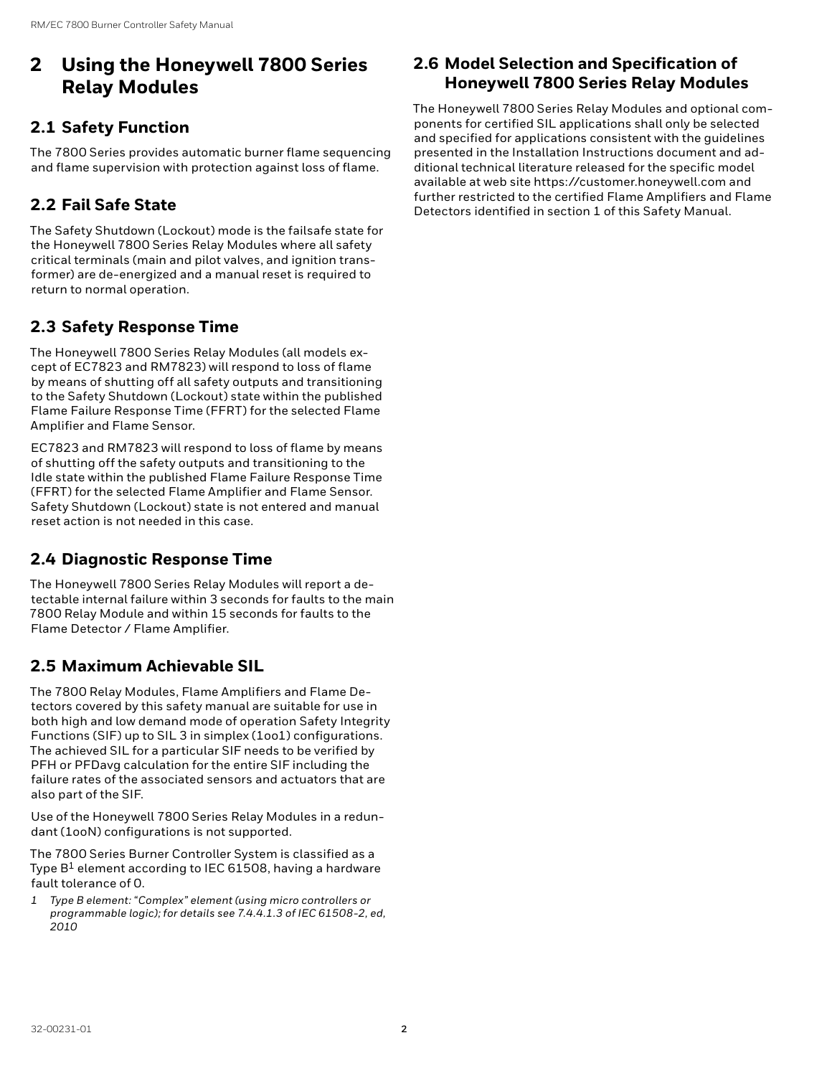# <span id="page-1-0"></span>**2 Using the Honeywell 7800 Series Relay Modules**

# **2.1 Safety Function**

The 7800 Series provides automatic burner flame sequencing and flame supervision with protection against loss of flame.

# **2.2 Fail Safe State**

The Safety Shutdown (Lockout) mode is the failsafe state for the Honeywell 7800 Series Relay Modules where all safety critical terminals (main and pilot valves, and ignition transformer) are de-energized and a manual reset is required to return to normal operation.

# **2.3 Safety Response Time**

The Honeywell 7800 Series Relay Modules (all models except of EC7823 and RM7823) will respond to loss of flame by means of shutting off all safety outputs and transitioning to the Safety Shutdown (Lockout) state within the published Flame Failure Response Time (FFRT) for the selected Flame Amplifier and Flame Sensor.

EC7823 and RM7823 will respond to loss of flame by means of shutting off the safety outputs and transitioning to the Idle state within the published Flame Failure Response Time (FFRT) for the selected Flame Amplifier and Flame Sensor. Safety Shutdown (Lockout) state is not entered and manual reset action is not needed in this case.

# **2.4 Diagnostic Response Time**

The Honeywell 7800 Series Relay Modules will report a detectable internal failure within 3 seconds for faults to the main 7800 Relay Module and within 15 seconds for faults to the Flame Detector / Flame Amplifier.

# **2.5 Maximum Achievable SIL**

The 7800 Relay Modules, Flame Amplifiers and Flame Detectors covered by this safety manual are suitable for use in both high and low demand mode of operation Safety Integrity Functions (SIF) up to SIL 3 in simplex (1oo1) configurations. The achieved SIL for a particular SIF needs to be verified by PFH or PFDavg calculation for the entire SIF including the failure rates of the associated sensors and actuators that are also part of the SIF.

Use of the Honeywell 7800 Series Relay Modules in a redundant (1ooN) configurations is not supported.

The 7800 Series Burner Controller System is classified as a Type  $B^1$  element according to IEC 61508, having a hardware fault tolerance of 0.

*1 Type B element: "Complex" element (using micro controllers or programmable logic); for details see 7.4.4.1.3 of IEC 61508-2, ed, 2010* 

# **2.6 Model Selection and Specification of Honeywell 7800 Series Relay Modules**

The Honeywell 7800 Series Relay Modules and optional components for certified SIL applications shall only be selected and specified for applications consistent with the guidelines presented in the Installation Instructions document and additional technical literature released for the specific model available at web site https://customer.honeywell.com and further restricted to the certified Flame Amplifiers and Flame Detectors identified in section 1 of this Safety Manual.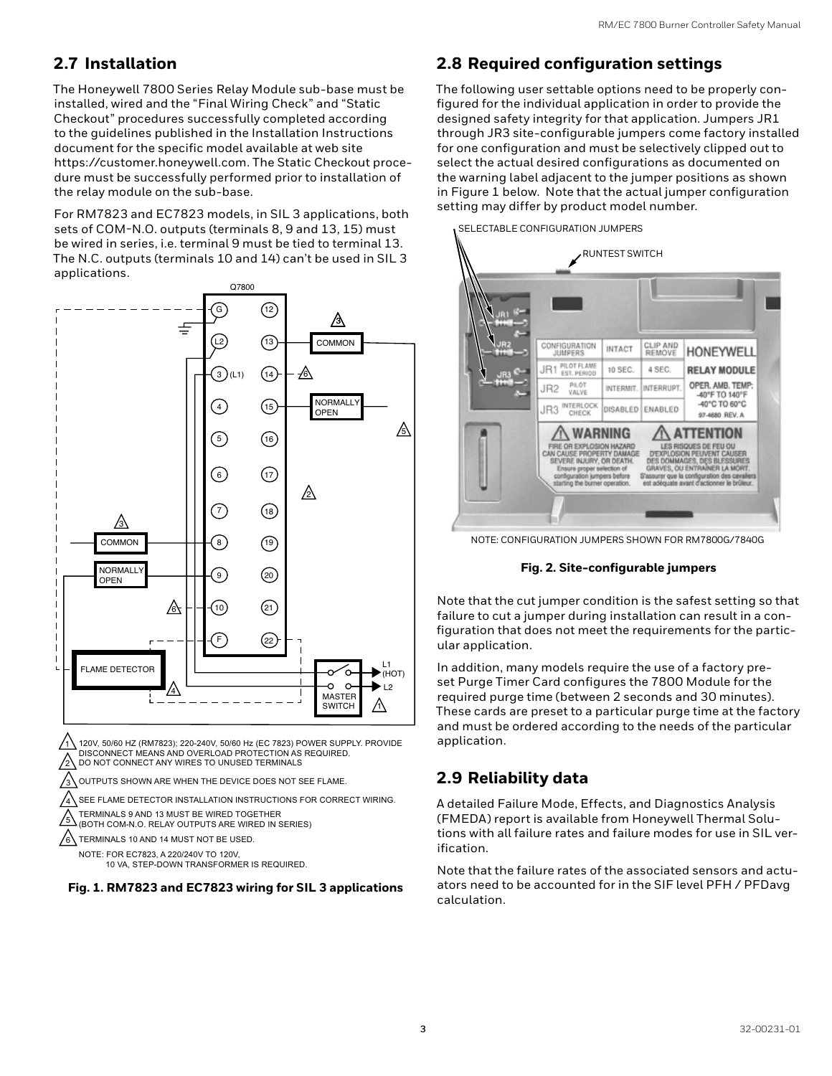# <span id="page-2-0"></span>**2.7 Installation**

The Honeywell 7800 Series Relay Module sub-base must be installed, wired and the "Final Wiring Check" and "Static Checkout" procedures successfully completed according to the guidelines published in the Installation Instructions document for the specific model available at web site https://customer.honeywell.com. The Static Checkout procedure must be successfully performed prior to installation of the relay module on the sub-base.

For RM7823 and EC7823 models, in SIL 3 applications, both sets of COM-N.O. outputs (terminals 8, 9 and 13, 15) must be wired in series, i.e. terminal 9 must be tied to terminal 13. The N.C. outputs (terminals 10 and 14) can't be used in SIL 3 applications.



DISCONNECT MEANS AND OVERLOAD PROTECTION AS REQUIRED. DO NOT CONNECT ANY WIRES TO UNUSED TERMINALS

OUTPUTS SHOWN ARE WHEN THE DEVICE DOES NOT SEE FLAME.

 $\sqrt{4}$ SEE FLAME DETECTOR INSTALLATION INSTRUCTIONS FOR CORRECT WIRING.

 $\sqrt{5}$ TERMINALS 9 AND 13 MUST BE WIRED TOGETHER (BOTH COM-N.O. RELAY OUTPUTS ARE WIRED IN SERIES)

 $\sqrt{6}$ TERMINALS 10 AND 14 MUST NOT BE USED.

2

3

NOTE: FOR EC7823, A 220/240V TO 120V, 10 VA, STEP-DOWN TRANSFORMER IS REQUIRED.



# **2.8 Required configuration settings**

The following user settable options need to be properly configured for the individual application in order to provide the designed safety integrity for that application. Jumpers JR1 through JR3 site-configurable jumpers come factory installed for one configuration and must be selectively clipped out to select the actual desired configurations as documented on the warning label adjacent to the jumper positions as shown in Figure 1 below. Note that the actual jumper configuration setting may differ by product model number.



NOTE: CONFIGURATION JUMPERS SHOWN FOR RM7800G/7840G

#### **Fig. 2. Site-configurable jumpers**

Note that the cut jumper condition is the safest setting so that failure to cut a jumper during installation can result in a configuration that does not meet the requirements for the particular application.

In addition, many models require the use of a factory preset Purge Timer Card configures the 7800 Module for the required purge time (between 2 seconds and 30 minutes). These cards are preset to a particular purge time at the factory and must be ordered according to the needs of the particular application.

# **2.9 Reliability data**

A detailed Failure Mode, Effects, and Diagnostics Analysis (FMEDA) report is available from Honeywell Thermal Solutions with all failure rates and failure modes for use in SIL verification.

Note that the failure rates of the associated sensors and actuators need to be accounted for in the SIF level PFH / PFDavg calculation.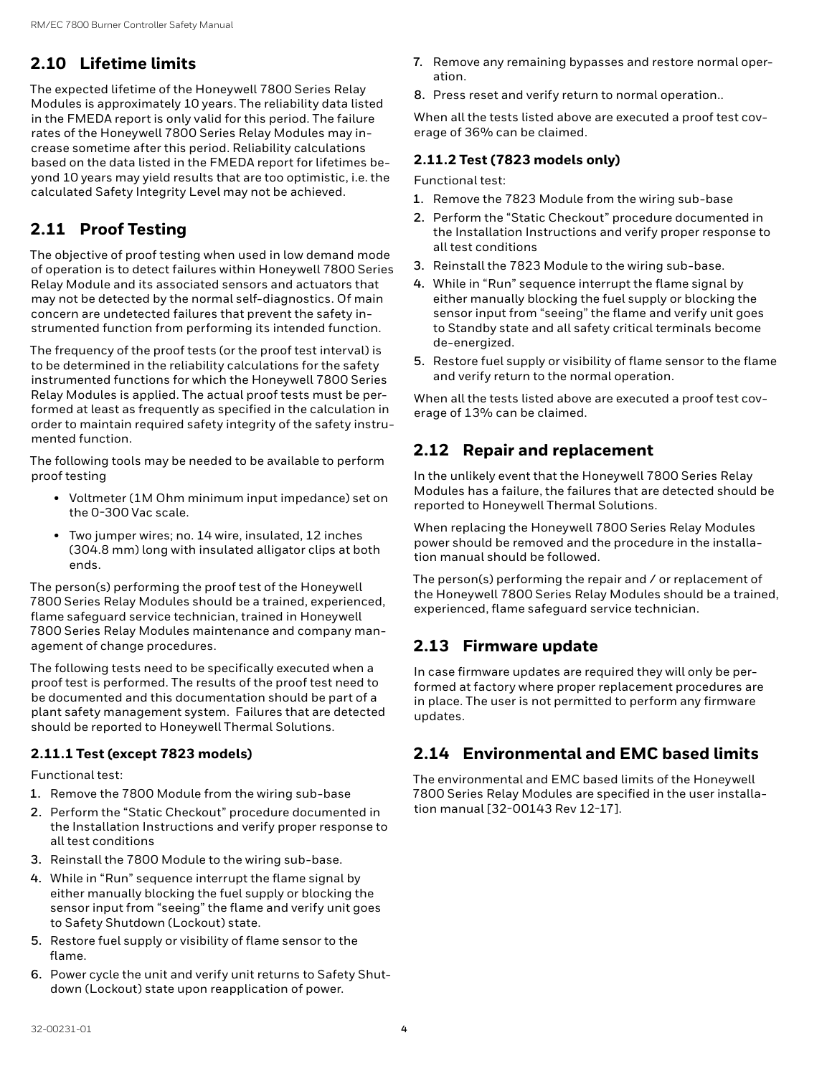# <span id="page-3-0"></span>**2.10 Lifetime limits**

The expected lifetime of the Honeywell 7800 Series Relay Modules is approximately 10 years. The reliability data listed in the FMEDA report is only valid for this period. The failure rates of the Honeywell 7800 Series Relay Modules may increase sometime after this period. Reliability calculations based on the data listed in the FMEDA report for lifetimes beyond 10 years may yield results that are too optimistic, i.e. the calculated Safety Integrity Level may not be achieved.

# **2.11 Proof Testing**

The objective of proof testing when used in low demand mode of operation is to detect failures within Honeywell 7800 Series Relay Module and its associated sensors and actuators that may not be detected by the normal self-diagnostics. Of main concern are undetected failures that prevent the safety instrumented function from performing its intended function.

The frequency of the proof tests (or the proof test interval) is to be determined in the reliability calculations for the safety instrumented functions for which the Honeywell 7800 Series Relay Modules is applied. The actual proof tests must be performed at least as frequently as specified in the calculation in order to maintain required safety integrity of the safety instrumented function.

The following tools may be needed to be available to perform proof testing

- Voltmeter (1M Ohm minimum input impedance) set on the 0-300 Vac scale.
- Two jumper wires; no. 14 wire, insulated, 12 inches (304.8 mm) long with insulated alligator clips at both ends.

The person(s) performing the proof test of the Honeywell 7800 Series Relay Modules should be a trained, experienced, flame safeguard service technician, trained in Honeywell 7800 Series Relay Modules maintenance and company management of change procedures.

The following tests need to be specifically executed when a proof test is performed. The results of the proof test need to be documented and this documentation should be part of a plant safety management system. Failures that are detected should be reported to Honeywell Thermal Solutions.

#### **2.11.1 Test (except 7823 models)**

Functional test:

- **1.** Remove the 7800 Module from the wiring sub-base
- **2.** Perform the "Static Checkout" procedure documented in the Installation Instructions and verify proper response to all test conditions
- **3.** Reinstall the 7800 Module to the wiring sub-base.
- **4.** While in "Run" sequence interrupt the flame signal by either manually blocking the fuel supply or blocking the sensor input from "seeing" the flame and verify unit goes to Safety Shutdown (Lockout) state.
- **5.** Restore fuel supply or visibility of flame sensor to the flame.
- **6.** Power cycle the unit and verify unit returns to Safety Shutdown (Lockout) state upon reapplication of power.
- **7.** Remove any remaining bypasses and restore normal operation.
- **8.** Press reset and verify return to normal operation..

When all the tests listed above are executed a proof test coverage of 36% can be claimed.

#### **2.11.2 Test (7823 models only)**

Functional test:

- **1.** Remove the 7823 Module from the wiring sub-base
- **2.** Perform the "Static Checkout" procedure documented in the Installation Instructions and verify proper response to all test conditions
- **3.** Reinstall the 7823 Module to the wiring sub-base.
- **4.** While in "Run" sequence interrupt the flame signal by either manually blocking the fuel supply or blocking the sensor input from "seeing" the flame and verify unit goes to Standby state and all safety critical terminals become de-energized.
- **5.** Restore fuel supply or visibility of flame sensor to the flame and verify return to the normal operation.

When all the tests listed above are executed a proof test coverage of 13% can be claimed.

# **2.12 Repair and replacement**

In the unlikely event that the Honeywell 7800 Series Relay Modules has a failure, the failures that are detected should be reported to Honeywell Thermal Solutions.

When replacing the Honeywell 7800 Series Relay Modules power should be removed and the procedure in the installation manual should be followed.

The person(s) performing the repair and / or replacement of the Honeywell 7800 Series Relay Modules should be a trained, experienced, flame safeguard service technician.

# **2.13 Firmware update**

In case firmware updates are required they will only be performed at factory where proper replacement procedures are in place. The user is not permitted to perform any firmware updates.

# **2.14 Environmental and EMC based limits**

The environmental and EMC based limits of the Honeywell 7800 Series Relay Modules are specified in the user installation manual [32-00143 Rev 12-17].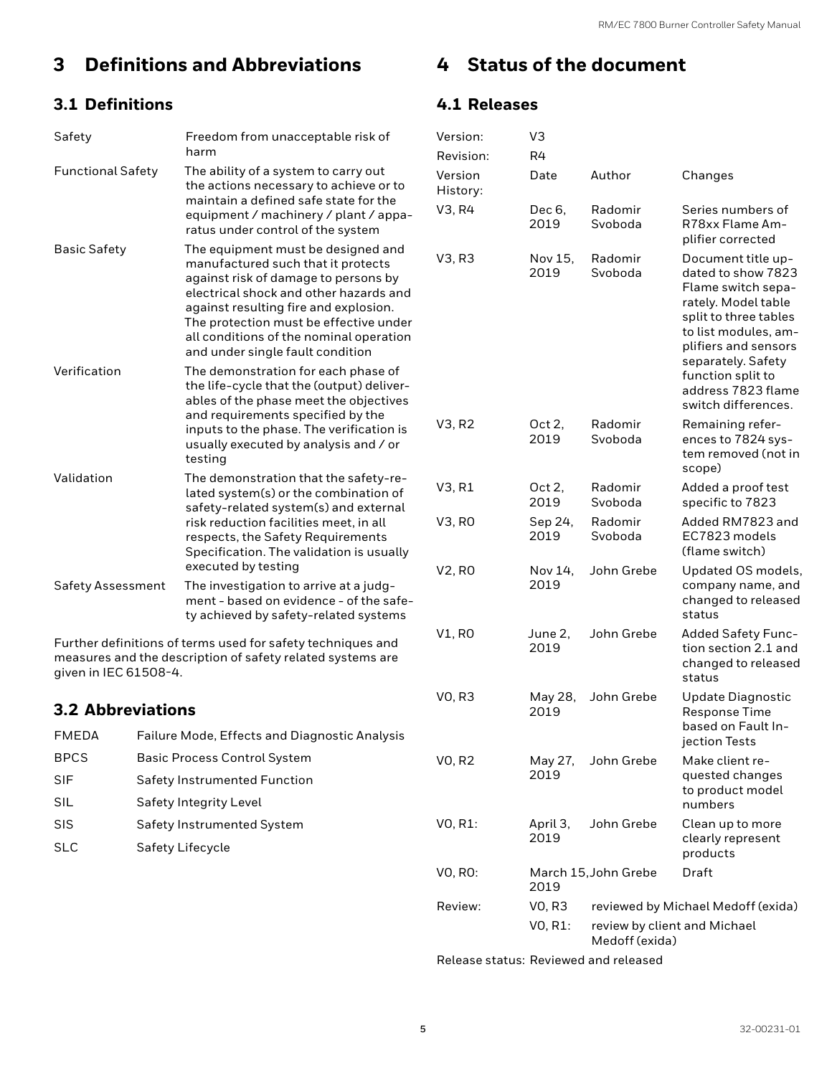# <span id="page-4-0"></span>**3 Definitions and Abbreviations**

# **3.1 Definitions**

| Safety                   | Freedom from unacceptable risk of<br>harm                                                                                                                                                                                                                                                                                    |
|--------------------------|------------------------------------------------------------------------------------------------------------------------------------------------------------------------------------------------------------------------------------------------------------------------------------------------------------------------------|
| <b>Functional Safety</b> | The ability of a system to carry out<br>the actions necessary to achieve or to<br>maintain a defined safe state for the<br>equipment / machinery / plant / appa-<br>ratus under control of the system                                                                                                                        |
| Basic Safety             | The equipment must be designed and<br>manufactured such that it protects<br>against risk of damage to persons by<br>electrical shock and other hazards and<br>against resulting fire and explosion.<br>The protection must be effective under<br>all conditions of the nominal operation<br>and under single fault condition |
| Verification             | The demonstration for each phase of<br>the life-cycle that the (output) deliver-<br>ables of the phase meet the objectives<br>and requirements specified by the<br>inputs to the phase. The verification is<br>usually executed by analysis and / or<br>testing                                                              |
| Validation               | The demonstration that the safety-re-<br>lated system(s) or the combination of<br>safety-related system(s) and external<br>risk reduction facilities meet, in all<br>respects, the Safety Requirements<br>Specification. The validation is usually<br>executed by testing                                                    |
| Safety Assessment        | The investigation to arrive at a judg-<br>ment - based on evidence - of the safe-<br>ty achieved by safety-related systems                                                                                                                                                                                                   |

Further definitions of terms used for safety techniques and measures and the description of safety related systems are given in IEC 61508-4.

### **3.2 Abbreviations**

| FMEDA       | <b>Failure Mode, Effects and Diagnostic Analysis</b> |
|-------------|------------------------------------------------------|
| <b>BPCS</b> | <b>Basic Process Control System</b>                  |
| <b>SIF</b>  | <b>Safety Instrumented Function</b>                  |
| SIL         | Safety Integrity Level                               |
| <b>SIS</b>  | Safety Instrumented System                           |
| <b>SLC</b>  | Safety Lifecycle                                     |
|             |                                                      |

# **4 Status of the document**

# **4.1 Releases**

| Version:            | VЗ               |                                                |                                                                                                                                                                                                                                                        |  |
|---------------------|------------------|------------------------------------------------|--------------------------------------------------------------------------------------------------------------------------------------------------------------------------------------------------------------------------------------------------------|--|
| Revision:           | R4               |                                                |                                                                                                                                                                                                                                                        |  |
| Version<br>History: | Date             | Author                                         | Changes                                                                                                                                                                                                                                                |  |
| V3, R4              | Dec 6,<br>2019   | Radomir<br>Svoboda                             | Series numbers of<br>R78xx Flame Am-<br>plifier corrected                                                                                                                                                                                              |  |
| V3, R3              | Nov 15,<br>2019  | Radomir<br>Svoboda                             | Document title up-<br>dated to show 7823<br>Flame switch sepa-<br>rately. Model table<br>split to three tables<br>to list modules, am-<br>plifiers and sensors<br>separately. Safety<br>function split to<br>address 7823 flame<br>switch differences. |  |
| V3, R2              | Oct 2,<br>2019   | Radomir<br>Svoboda                             | Remaining refer-<br>ences to 7824 sys-<br>tem removed (not in<br>scope)                                                                                                                                                                                |  |
| V3, R1              | Oct 2,<br>2019   | Radomir<br>Svoboda                             | Added a proof test<br>specific to 7823                                                                                                                                                                                                                 |  |
| V3, RO              | Sep 24,<br>2019  | Radomir<br>Svoboda                             | Added RM7823 and<br>EC7823 models<br>(flame switch)                                                                                                                                                                                                    |  |
| V2, RO              | Nov 14,<br>2019  | John Grebe                                     | Updated OS models,<br>company name, and<br>changed to released<br>status                                                                                                                                                                               |  |
| V1, RO              | June 2,<br>2019  | John Grebe                                     | <b>Added Safety Func-</b><br>tion section 2.1 and<br>changed to released<br>status                                                                                                                                                                     |  |
| VO, R3              | May 28,<br>2019  | John Grebe                                     | <b>Update Diagnostic</b><br>Response Time<br>based on Fault In-<br>jection Tests                                                                                                                                                                       |  |
| VO, R2              | May 27,<br>2019  | John Grebe                                     | Make client re-<br>quested changes<br>to product model<br>numbers                                                                                                                                                                                      |  |
| VO, R1:             | April 3,<br>2019 | John Grebe                                     | Clean up to more<br>clearly represent<br>products                                                                                                                                                                                                      |  |
| VO, RO:             | 2019             | Draft<br>March 15, John Grebe                  |                                                                                                                                                                                                                                                        |  |
| Review:             | <b>VO, R3</b>    |                                                | reviewed by Michael Medoff (exida)                                                                                                                                                                                                                     |  |
|                     | VO, R1:          | review by client and Michael<br>Medoff (exida) |                                                                                                                                                                                                                                                        |  |

Release status: Reviewed and released